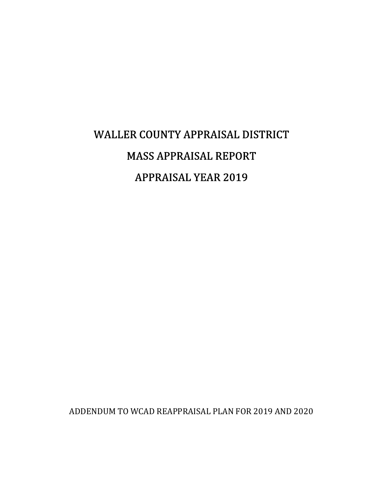# WALLER COUNTY APPRAISAL DISTRICT MASS APPRAISAL REPORT **APPRAISAL YEAR 2019**

ADDENDUM TO WCAD REAPPRAISAL PLAN FOR 2019 AND 2020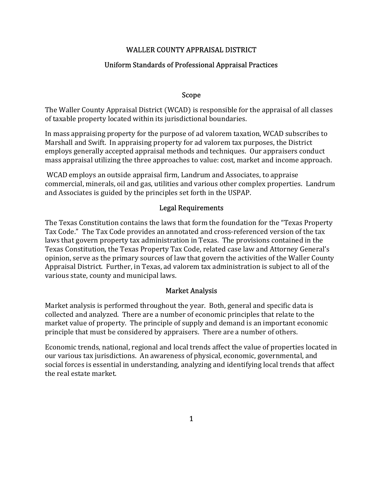#### WALLER COUNTY APPRAISAL DISTRICT

## Uniform Standards of Professional Appraisal Practices

#### Scope

The Waller County Appraisal District (WCAD) is responsible for the appraisal of all classes of taxable property located within its jurisdictional boundaries.

In mass appraising property for the purpose of ad valorem taxation, WCAD subscribes to Marshall and Swift. In appraising property for ad valorem tax purposes, the District employs generally accepted appraisal methods and techniques. Our appraisers conduct mass appraisal utilizing the three approaches to value: cost, market and income approach.

 WCAD employs an outside appraisal firm, Landrum and Associates, to appraise commercial, minerals, oil and gas, utilities and various other complex properties. Landrum and Associates is guided by the principles set forth in the USPAP.

#### Legal Requirements

The Texas Constitution contains the laws that form the foundation for the "Texas Property Tax Code." The Tax Code provides an annotated and cross-referenced version of the tax laws that govern property tax administration in Texas. The provisions contained in the Texas Constitution, the Texas Property Tax Code, related case law and Attorney General's opinion, serve as the primary sources of law that govern the activities of the Waller County Appraisal District. Further, in Texas, ad valorem tax administration is subject to all of the various state, county and municipal laws.

#### Market Analysis

Market analysis is performed throughout the year. Both, general and specific data is collected and analyzed. There are a number of economic principles that relate to the market value of property. The principle of supply and demand is an important economic principle that must be considered by appraisers. There are a number of others.

Economic trends, national, regional and local trends affect the value of properties located in our various tax jurisdictions. An awareness of physical, economic, governmental, and social forces is essential in understanding, analyzing and identifying local trends that affect the real estate market.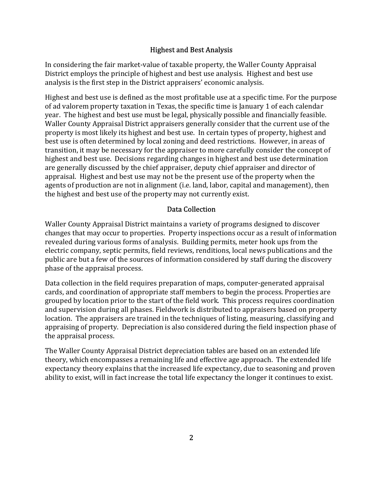#### Highest and Best Analysis

In considering the fair market-value of taxable property, the Waller County Appraisal District employs the principle of highest and best use analysis. Highest and best use analysis is the first step in the District appraisers' economic analysis.

Highest and best use is defined as the most profitable use at a specific time. For the purpose of ad valorem property taxation in Texas, the specific time is January 1 of each calendar year. The highest and best use must be legal, physically possible and financially feasible. Waller County Appraisal District appraisers generally consider that the current use of the property is most likely its highest and best use. In certain types of property, highest and best use is often determined by local zoning and deed restrictions. However, in areas of transition, it may be necessary for the appraiser to more carefully consider the concept of highest and best use. Decisions regarding changes in highest and best use determination are generally discussed by the chief appraiser, deputy chief appraiser and director of appraisal. Highest and best use may not be the present use of the property when the agents of production are not in alignment (i.e. land, labor, capital and management), then the highest and best use of the property may not currently exist.

#### Data Collection

Waller County Appraisal District maintains a variety of programs designed to discover changes that may occur to properties. Property inspections occur as a result of information revealed during various forms of analysis. Building permits, meter hook ups from the electric company, septic permits, field reviews, renditions, local news publications and the public are but a few of the sources of information considered by staff during the discovery phase of the appraisal process.

Data collection in the field requires preparation of maps, computer-generated appraisal cards, and coordination of appropriate staff members to begin the process. Properties are grouped by location prior to the start of the field work. This process requires coordination and supervision during all phases. Fieldwork is distributed to appraisers based on property location. The appraisers are trained in the techniques of listing, measuring, classifying and appraising of property. Depreciation is also considered during the field inspection phase of the appraisal process.

The Waller County Appraisal District depreciation tables are based on an extended life theory, which encompasses a remaining life and effective age approach. The extended life expectancy theory explains that the increased life expectancy, due to seasoning and proven ability to exist, will in fact increase the total life expectancy the longer it continues to exist.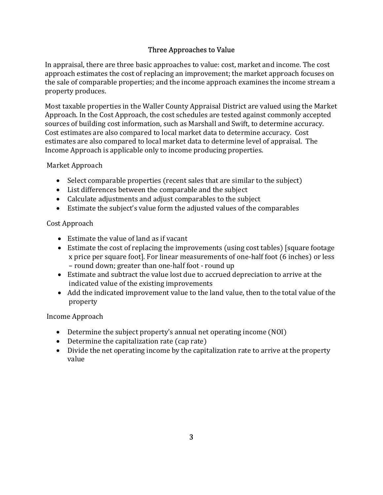## Three Approaches to Value

In appraisal, there are three basic approaches to value: cost, market and income. The cost approach estimates the cost of replacing an improvement; the market approach focuses on the sale of comparable properties; and the income approach examines the income stream a property produces.

Most taxable properties in the Waller County Appraisal District are valued using the Market Approach. In the Cost Approach, the cost schedules are tested against commonly accepted sources of building cost information, such as Marshall and Swift, to determine accuracy. Cost estimates are also compared to local market data to determine accuracy. Cost estimates are also compared to local market data to determine level of appraisal. The Income Approach is applicable only to income producing properties.

#### Market Approach

- Select comparable properties (recent sales that are similar to the subject)
- List differences between the comparable and the subject
- Calculate adjustments and adjust comparables to the subject
- Estimate the subject's value form the adjusted values of the comparables

### Cost Approach

- Estimate the value of land as if vacant
- Estimate the cost of replacing the improvements (using cost tables) [square footage x price per square foot]. For linear measurements of one-half foot (6 inches) or less – round down; greater than one-half foot - round up
- Estimate and subtract the value lost due to accrued depreciation to arrive at the indicated value of the existing improvements
- Add the indicated improvement value to the land value, then to the total value of the property

#### Income Approach

- Determine the subject property's annual net operating income (NOI)
- Determine the capitalization rate (cap rate)
- Divide the net operating income by the capitalization rate to arrive at the property value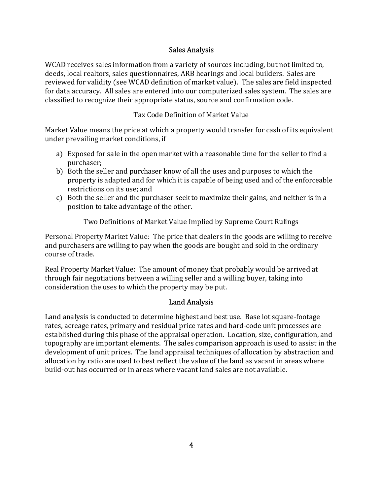#### Sales Analysis

WCAD receives sales information from a variety of sources including, but not limited to, deeds, local realtors, sales questionnaires, ARB hearings and local builders. Sales are reviewed for validity (see WCAD definition of market value). The sales are field inspected for data accuracy. All sales are entered into our computerized sales system. The sales are classified to recognize their appropriate status, source and confirmation code.

## Tax Code Definition of Market Value

Market Value means the price at which a property would transfer for cash of its equivalent under prevailing market conditions, if

- a) Exposed for sale in the open market with a reasonable time for the seller to find a purchaser;
- b) Both the seller and purchaser know of all the uses and purposes to which the property is adapted and for which it is capable of being used and of the enforceable restrictions on its use; and
- c) Both the seller and the purchaser seek to maximize their gains, and neither is in a position to take advantage of the other.

Two Definitions of Market Value Implied by Supreme Court Rulings

Personal Property Market Value: The price that dealers in the goods are willing to receive and purchasers are willing to pay when the goods are bought and sold in the ordinary course of trade.

Real Property Market Value: The amount of money that probably would be arrived at through fair negotiations between a willing seller and a willing buyer, taking into consideration the uses to which the property may be put.

## Land Analysis

Land analysis is conducted to determine highest and best use. Base lot square-footage rates, acreage rates, primary and residual price rates and hard-code unit processes are established during this phase of the appraisal operation. Location, size, configuration, and topography are important elements. The sales comparison approach is used to assist in the development of unit prices. The land appraisal techniques of allocation by abstraction and allocation by ratio are used to best reflect the value of the land as vacant in areas where build-out has occurred or in areas where vacant land sales are not available.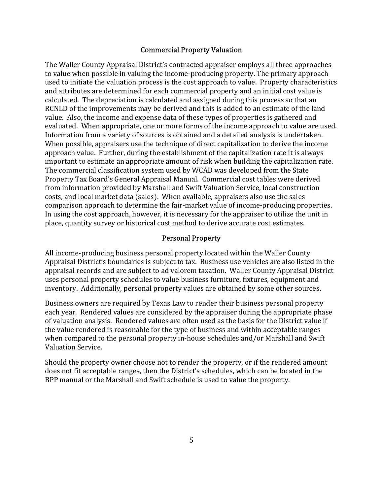#### Commercial Property Valuation

The Waller County Appraisal District's contracted appraiser employs all three approaches to value when possible in valuing the income-producing property. The primary approach used to initiate the valuation process is the cost approach to value. Property characteristics and attributes are determined for each commercial property and an initial cost value is calculated. The depreciation is calculated and assigned during this process so that an RCNLD of the improvements may be derived and this is added to an estimate of the land value. Also, the income and expense data of these types of properties is gathered and evaluated. When appropriate, one or more forms of the income approach to value are used. Information from a variety of sources is obtained and a detailed analysis is undertaken. When possible, appraisers use the technique of direct capitalization to derive the income approach value. Further, during the establishment of the capitalization rate it is always important to estimate an appropriate amount of risk when building the capitalization rate. The commercial classification system used by WCAD was developed from the State Property Tax Board's General Appraisal Manual. Commercial cost tables were derived from information provided by Marshall and Swift Valuation Service, local construction costs, and local market data (sales). When available, appraisers also use the sales comparison approach to determine the fair-market value of income-producing properties. In using the cost approach, however, it is necessary for the appraiser to utilize the unit in place, quantity survey or historical cost method to derive accurate cost estimates.

#### Personal Property

All income-producing business personal property located within the Waller County Appraisal District's boundaries is subject to tax. Business use vehicles are also listed in the appraisal records and are subject to ad valorem taxation. Waller County Appraisal District uses personal property schedules to value business furniture, fixtures, equipment and inventory. Additionally, personal property values are obtained by some other sources.

Business owners are required by Texas Law to render their business personal property each year. Rendered values are considered by the appraiser during the appropriate phase of valuation analysis. Rendered values are often used as the basis for the District value if the value rendered is reasonable for the type of business and within acceptable ranges when compared to the personal property in-house schedules and/or Marshall and Swift Valuation Service.

Should the property owner choose not to render the property, or if the rendered amount does not fit acceptable ranges, then the District's schedules, which can be located in the BPP manual or the Marshall and Swift schedule is used to value the property.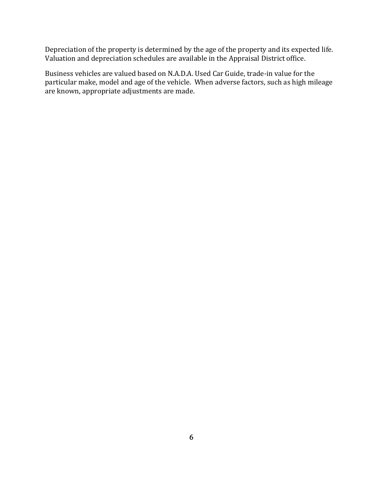Depreciation of the property is determined by the age of the property and its expected life. Valuation and depreciation schedules are available in the Appraisal District office.

Business vehicles are valued based on N.A.D.A. Used Car Guide, trade-in value for the particular make, model and age of the vehicle. When adverse factors, such as high mileage are known, appropriate adjustments are made.